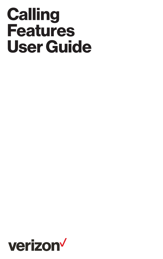# **Calling Features User Guide**

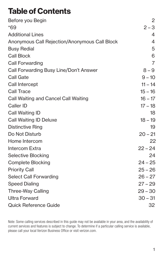### **Table of Contents**

| Before you Begin                              | 2              |
|-----------------------------------------------|----------------|
| *69                                           | $2 - 3$        |
| <b>Additional Lines</b>                       | 4              |
| Anonymous Call Rejection/Anonymous Call Block | 4              |
| <b>Busy Redial</b>                            | 5              |
| <b>Call Block</b>                             | 6              |
| Call Forwarding                               | $\overline{7}$ |
| Call Forwarding Busy Line/Don't Answer        | $8 - 9$        |
| <b>Call Gate</b>                              | $9 - 10$       |
| Call Intercept                                | $11 - 14$      |
| Call Trace                                    | $15 - 16$      |
| Call Waiting and Cancel Call Waiting          | $16 - 17$      |
| Caller ID                                     | $17 - 18$      |
| Call Waiting ID                               | 18             |
| <b>Call Waiting ID Deluxe</b>                 | $18 - 19$      |
| <b>Distinctive Ring</b>                       | 19             |
| Do Not Disturb                                | $20 - 21$      |
| Home Intercom                                 | 22             |
| Intercom Extra                                | $22 - 24$      |
| Selective Blocking                            | 24             |
| <b>Complete Blocking</b>                      | $24 - 25$      |
| <b>Priority Call</b>                          | $25 - 26$      |
| Select Call Forwarding                        | $26 - 27$      |
| <b>Speed Dialing</b>                          | $27 - 29$      |
| Three-Way Calling                             | $29 - 30$      |
| <b>Ultra Forward</b>                          | $30 - 31$      |
| Quick Reference Guide                         | 32             |

Note: Some calling services described in this guide may not be available in your area, and the availability of current services and features is subject to change. To determine if a particular calling service is available, please call your local Verizon Business Office or visit verizon.com.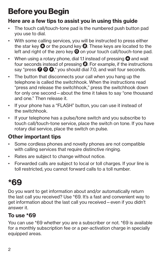# **Before you Begin**

#### **Here are a few tips to assist you in using this guide**

- The touch call/touch-tone pad is the numbered push button pad you use to dial.
- With some calling services, you will be instructed to press either the star key  $\bullet$  or the pound key  $\bullet$ . These keys are located to the left and right of the zero key **0** on your touch call/touch-tone pad.
- When using a rotary phone, dial 1.1 instead of pressing  $\Omega$  and wait four seconds instead of pressing  $\bigcirc$ . For example, if the instructions say "press  $\bigcirc$  **0**  $\bigcirc$ ," you should dial 7.0, and wait four seconds.
- The button that disconnects your call when you hang up the telephone is called the switchhook. When the instructions read "press and release the switchhook," press the switchhook down for only one second—about the time it takes to say "one thousand and one." Then release it.
- If your phone has a "FLASH" button, you can use it instead of the switchhook.
- If your telephone has a pulse/tone switch and you subscribe to touch call/touch-tone service, place the switch on tone. If you have rotary dial service, place the switch on pulse.

### **Other important tips**

- Some cordless phones and novelty phones are not compatible with calling services that require distinctive ringing.
- Rates are subject to change without notice.
- Forwarded calls are subject to local or toll charges. If your line is toll restricted, you cannot forward calls to a toll number.

### **\*69**

Do you want to get information about and/or automatically return the last call you received? Use \*69. It's a fast and convenient way to get information about the last call you received—even if you didn't answer it.

### **To use \*69**

You can use \*69 whether you are a subscriber or not. \*69 is available for a monthly subscription fee or a per-activation charge in specially equipped areas.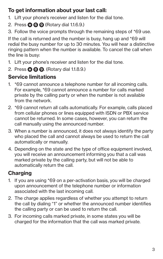### **To get information about your last call:**

- 1. Lift your phone's receiver and listen for the dial tone.
- 2. Press **6 9** (Rotary dial 1.1.6.9.)
- 3. Follow the voice prompts through the remaining steps of \*69 use.

If the call is returned and the number is busy, hang up and \*69 will redial the busy number for up to 30 minutes. You will hear a distinctive ringing pattern when the number is available. To cancel the call when the line is busy:

- 1. Lift your phone's receiver and listen for the dial tone.
- 2. Press **8 9** . (Rotary dial 1.1.8.9.)

### **Service limitations**

- 1. \*69 cannot announce a telephone number for all incoming calls. For example, \*69 cannot announce a number for calls marked private by the calling party or when the number is not available from the network.
- 2. \*69 cannot return all calls automatically. For example, calls placed from cellular phones or lines equipped with ISDN or PBX service cannot be returned. In some cases, however, you can return the call manually using the announced number.
- 3. When a number is announced, it does not always identify the party who placed the call and cannot always be used to return the call automatically or manually.
- 4. Depending on the state and the type of office equipment involved. you will receive an announcement informing you that a call was marked private by the calling party, but will not be able to automatically return the call.

### **Charging**

- 1. If you are using \*69 on a per-activation basis, you will be charged upon announcement of the telephone number or information associated with the last incoming call.
- 2. The charge applies regardless of whether you attempt to return the call by dialing "1" or whether the announced number identifies the calling party or can be used to return the call.
- 3. For incoming calls marked private, in some states you will be charged for the information that the call was marked private.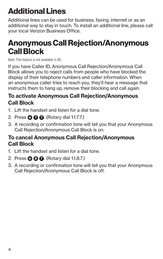# **Additional Lines**

Additional lines can be used for business, faxing, internet or as an additional way to stay in touch. To install an additional line, please call your local Verizon Business Office.

### **Anonymous Call Rejection/Anonymous Call Block**

Note: This feature is not available in NC.

If you have Caller ID, Anonymous Call Rejection/Anonymous Call Block allows you to reject calls from people who have blocked the display of their telephone numbers and caller information. When an anonymous caller tries to reach you, they'll hear a message that instructs them to hang up, remove their blocking and call again.

#### **To activate Anonymous Call Rejection/Anonymous Call Block**

- 1. Lift the handset and listen for a dial tone.
- 2. Press **7 7** . (Rotary dial 1.1.7.7.)
- 3. A recording or confirmation tone will tell you that your Anonymous Call Rejection/Anonymous Call Block is on.

#### **To cancel Anonymous Call Rejection/Anonymous Call Block**

- 1. Lift the handset and listen for a dial tone.
- 2. Press **8 7** . (Rotary dial 1.1.8.7.)
- 3. A recording or confirmation tone will tell you that your Anonymous Call Rejection/Anonymous Call Block is off.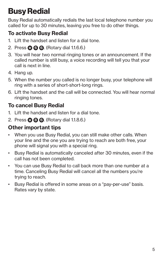# **Busy Redial**

Busy Redial automatically redials the last local telephone number you called for up to 30 minutes, leaving you free to do other things.

### **To activate Busy Redial**

- 1. Lift the handset and listen for a dial tone.
- 2. Press **6 6** . (Rotary dial 1.1.6.6.)
- 3. You will hear two normal ringing tones or an announcement. If the called number is still busy, a voice recording will tell you that your call is next in line.
- 4. Hang up.
- 5. When the number you called is no longer busy, your telephone will ring with a series of short-short-long rings.
- 6. Lift the handset and the call will be connected. You will hear normal ringing tones.

### **To cancel Busy Redial**

- 1. Lift the handset and listen for a dial tone.
- 2. Press **8 6** . (Rotary dial 1.1.8.6.)

- When you use Busy Redial, you can still make other calls. When your line and the one you are trying to reach are both free, your phone will signal you with a special ring.
- Busy Redial is automatically canceled after 30 minutes, even if the call has not been completed.
- You can use Busy Redial to call back more than one number at a time. Canceling Busy Redial will cancel all the numbers you're trying to reach.
- Busy Redial is offered in some areas on a "pay-per-use" basis. Rates vary by state.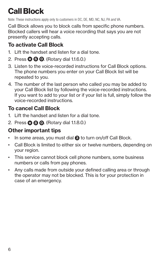# **Call Block**

Note: These instructions apply only to customers in DC, DE, MD, NC, NJ, PA and VA.

Call Block allows you to block calls from specific phone numbers. Blocked callers will hear a voice recording that says you are not presently accepting calls.

#### **To activate Call Block**

- 1. Lift the handset and listen for a dial tone.
- 2. Press **6 0** . (Rotary dial 1.1.6.0.)
- 3. Listen to the voice-recorded instructions for Call Block options. The phone numbers you enter on your Call Block list will be repeated to you.
- 4. The number of the last person who called you may be added to your Call Block list by following the voice-recorded instructions. If you want to add to your list or if your list is full, simply follow the voice-recorded instructions.

### **To cancel Call Block**

- 1. Lift the handset and listen for a dial tone.
- 2. Press **8 0** . (Rotary dial 1.1.8.0.)

- In some areas, you must dial **3** to turn on/off Call Block.
- Call Block is limited to either six or twelve numbers, depending on your region.
- This service cannot block cell phone numbers, some business numbers or calls from pay phones.
- Any calls made from outside your defined calling area or through the operator may not be blocked. This is for your protection in case of an emergency.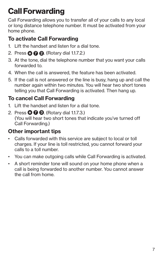# **Call Forwarding**

Call Forwarding allows you to transfer all of your calls to any local or long distance telephone number. It must be activated from your home phone.

### **To activate Call Forwarding**

- 1. Lift the handset and listen for a dial tone.
- 2. Press **7 2** . (Rotary dial 1.1.7.2.)
- 3. At the tone, dial the telephone number that you want your calls forwarded to.
- 4. When the call is answered, the feature has been activated.
- 5. If the call is not answered or the line is busy, hang up and call the number again within two minutes. You will hear two short tones telling you that Call Forwarding is activated. Then hang up.

### **To cancel Call Forwarding**

- 1. Lift the handset and listen for a dial tone.
- 2. Press **7 3** . (Rotary dial 1.1.7.3.) (You will hear two short tones that indicate you've turned off Call Forwarding.)

- Calls forwarded with this service are subject to local or toll charges. If your line is toll restricted, you cannot forward your calls to a toll number.
- You can make outgoing calls while Call Forwarding is activated.
- A short reminder tone will sound on your home phone when a call is being forwarded to another number. You cannot answer the call from home.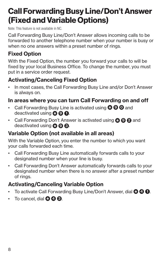### **Call Forwarding Busy Line/Don't Answer (Fixed and Variable Options)**

Note: This feature is not available in NC.

Call Forwarding Busy Line/Don't Answer allows incoming calls to be forwarded to another telephone number when your number is busy or when no one answers within a preset number of rings.

#### **Fixed Option**

With the Fixed Option, the number you forward your calls to will be fixed by your local Business Office. To change the number, you must put in a service order request.

#### **Activating/Canceling Fixed Option**

• In most cases, the Call Forwarding Busy Line and/or Don't Answer is always on.

#### **In areas where you can turn Call Forwarding on and off**

- Call Forwarding Busy Line is activated using **9 0** and deactivated using **9 1** .
- Call Forwarding Don't Answer is activated using **9 2** and deactivated using **9 3** .

#### **Variable Option (not available in all areas)**

With the Variable Option, you enter the number to which you want your calls forwarded each time.

- Call Forwarding Busy Line automatically forwards calls to your designated number when your line is busy.
- Call Forwarding Don't Answer automatically forwards calls to your designated number when there is no answer after a preset number of rings.

#### **Activating/Canceling Variable Option**

- To activate Call Forwarding Busy Line/Don't Answer, dial **4 1** .
- $\cdot$  To cancel, dial  $\mathbf{\odot} \mathbf{\odot} \mathbf{\odot}$ .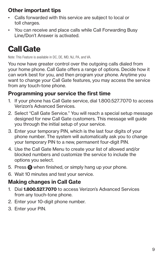### **Other important tips**

- Calls forwarded with this service are subject to local or toll charges.
- You can receive and place calls while Call Forwarding Busy Line/Don't Answer is activated.

# **Call Gate**

Note: This Feature is available in DC, DE, MD, NJ, PA, and VA.

You now have greater control over the outgoing calls dialed from your home phone. Call Gate offers a range of options. Decide how it can work best for you, and then program your phone. Anytime you want to change your Call Gate features, you may access the service from any touch-tone phone.

#### **Programming your service the first time**

- 1. If your phone has Call Gate service, dial 1.800.527.7070 to access Verizon's Advanced Services.
- 2. Select "Call Gate Service." You will reach a special setup message designed for new Call Gate customers. This message will guide you through the initial setup of your service.
- 3. Enter your temporary PIN, which is the last four digits of your phone number. The system will automatically ask you to change your temporary PIN to a new, permanent four-digit PIN.
- 4. Use the Call Gate Menu to create your list of allowed and/or blocked numbers and customize the service to include the options you select.
- 5. Press **0** when finished, or simply hang up your phone.
- 6. Wait 10 minutes and test your service.

### **Making changes in Call Gate**

- 1. Dial **1.800.527.7070** to access Verizon's Advanced Services from any touch-tone phone.
- 2. Enter your 10-digit phone number.
- 3. Enter your PIN.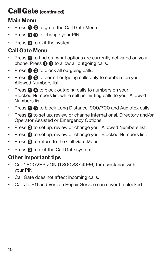### **Call Gate (continued)**

### **Main Menu**

- Press  $\mathbf{\Theta}$  **2** to go to the Call Gate Menu.
- Press **9 9** to change your PIN.
- Press **0** to exit the system.

### **Call Gate Menu**

- Press  $\bullet$  to find out what options are currently activated on your phone. Press  $\bigcirc$  **0** to allow all outgoing calls.
- Press  $\bigcirc$  **2** to block all outgoing calls.
- Press  $\bigcirc$  **3** to permit outgoing calls only to numbers on your Allowed Numbers list.
- Press  $\bigcirc$  **4** to block outgoing calls to numbers on your Blocked Numbers list while still permitting calls to your Allowed Numbers list.
- **Press**  $\bigcirc$  **<b>6** to block Long Distance, 900/700 and Audiotex calls.
- Press **2** to set up, review or change International, Directory and/or Operator Assisted or Emergency Options.
- Press  $\bigodot$  to set up, review or change your Allowed Numbers list.
- Press **4** to set up, review or change your Blocked Numbers list.
- Press  $\bigcirc$  to return to the Call Gate Menu.
- Press **0** to exit the Call Gate system.

- Call 1.800.VERIZON (1.800.837.4966) for assistance with your PIN.
- Call Gate does not affect incoming calls.
- Calls to 911 and Verizon Repair Service can never be blocked.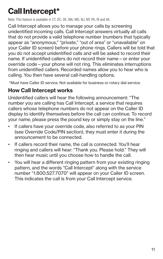# **Call Intercept\***

Note: This feature is available in CT, DC, DE, MA, MD, NJ, NY, PA, RI and VA.

Call Intercept allows you to manage your calls by screening unidentified incoming calls. Call Intercept answers virtually all calls that do not provide a valid telephone number (numbers that typically appear as "anonymous," "private," "out of area" or "unavailable" on your Caller ID screen) before your phone rings. Callers will be told that you do not accept unidentified calls and will be asked to record their name. If unidentified callers do not record their name—or enter your override code—your phone will not ring. This eliminates interruptions from unidentified callers. Recorded names allow you to hear who is calling. You then have several call-handling options.

\*Must have Caller ID service. Not available for business or rotary dial service.

### **How Call Intercept works**

Unidentified callers will hear the following announcement: "The number you are calling has Call Intercept, a service that requires callers whose telephone numbers do not appear on the Caller ID display to identify themselves before the call can continue. To record your name, please press the pound key or simply stay on the line."

- If callers have your override code, also referred to as your PIN (see Override Code/PIN section), they must enter it during the announcement to be connected.
- If callers record their name, the call is connected. You'll hear ringing and callers will hear: "Thank you. Please hold." They will then hear music until you choose how to handle the call.
- You will hear a different ringing pattern from your existing ringing pattern, and the words "Call Intercept" along with the service number "1.800.527.7070" will appear on your Caller ID screen. This indicates the call is from your Call Intercept service.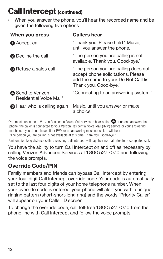### **Call Intercept (continued)**

• When you answer the phone, you'll hear the recorded name and be given the following five options.

| When you press                                      | <b>Callers hear</b>                                                                                                                           |
|-----------------------------------------------------|-----------------------------------------------------------------------------------------------------------------------------------------------|
| <b>Accept call</b>                                  | "Thank you. Please hold." Music,<br>until you answer the phone.                                                                               |
| <b>2</b> Decline the call                           | "The person you are calling is not<br>available. Thank you. Good-bye."                                                                        |
| <b>8</b> Refuse a sales call                        | "The person you are calling does not<br>accept phone solicitations. Please<br>add the name to your Do Not Call list.<br>Thank you, Good-bye." |
| <b>A</b> Send to Verizon<br>Residential Voice Mail* | "Connecting to an answering system."                                                                                                          |
| <b>6</b> Hear who is calling again                  | Music, until you answer or make<br>a choice.                                                                                                  |
|                                                     |                                                                                                                                               |

\*You must subscribe to Verizon Residential Voice Mail service to hear option **4** . If no one answers the phone, the caller is connected to your Verizon Residential Voice Mail (RVM) service or your answering machine. If you do not have either RVM or an answering machine, callers will hear:

"The person you are calling is not available at this time. Thank you. Good-bye."

Unidentified long distance callers reaching Call Intercept will pay their normal rates for a completed call.

You have the ability to turn Call Intercept on and off as necessary by calling Verizon Advanced Services at 1.800.527.7070 and following the voice prompts.

### **Override Code/PIN**

Family members and friends can bypass Call Intercept by entering your four-digit Call Intercept override code. Your code is automatically set to the last four digits of your home telephone number. When your override code is entered, your phone will alert you with a unique ringing pattern (short-short-long ring) and the words "Priority Caller" will appear on your Caller ID screen.

To change the override code, call toll-free 1.800.527.7070 from the phone line with Call Intercept and follow the voice prompts.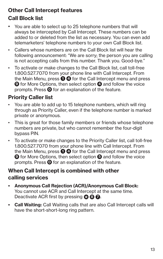### **Other Call Intercept features Call Block list**

- You are able to select up to 25 telephone numbers that will always be intercepted by Call Intercept. These numbers can be added to or deleted from the list as necessary. You can even add telemarketers' telephone numbers to your own Call Block list.
- Callers whose numbers are on the Call Block list will hear the following announcement: "We are sorry; the person you are calling is not accepting calls from this number. Thank you. Good-bye."
- To activate or make changes to the Call Block list, call toll-free 1.800.527.7070 from your phone line with Call Intercept. From the Main Menu, press **1 4** for the Call Intercept menu and press **9** for More Options, then select option **4** and follow the voice prompts. Press **0** for an explanation of the feature.

### **Priority Caller list**

- You are able to add up to 15 telephone numbers, which will ring through as Priority Caller, even if the telephone number is marked private or anonymous.
- This is great for those family members or friends whose telephone numbers are private, but who cannot remember the four-digit bypass PIN.
- To activate or make changes to the Priority Caller list, call toll-free 1.800.527.7070 from your phone line with Call Intercept. From the Main Menu, press **1 4** for the Call Intercept menu and press **9** for More Options, then select option **5** and follow the voice prompts. Press **0** for an explanation of the feature.

#### **When Call Intercept is combined with other calling services**

- **Anonymous Call Rejection (ACR)/Anonymous Call Block:** You cannot use ACR and Call Intercept at the same time. Deactivate ACR first by pressing **<sup>8</sup> <sup>7</sup>** .
- **Call Waiting:** Call Waiting calls that are also Call Intercept calls will have the short-short-long ring pattern.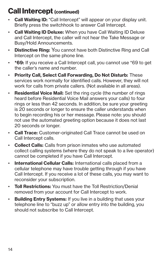### **Call Intercept (continued)**

- **Call Waiting ID:** "Call Intercept" will appear on your display unit. Briefly press the switchhook to answer Call Intercept.
- **Call Waiting ID Deluxe:** When you have Call Waiting ID Deluxe and Call Intercept, the caller will not hear the Take Message or Busy/Hold Announcements.
- **Distinctive Ring:** You cannot have both Distinctive Ring and Call Intercept on the same phone line.
- **\*69:** If you receive a Call Intercept call, you cannot use \*69 to get the caller's name and number.
- **Priority Call, Select Call Forwarding, Do Not Disturb:** These services work normally for identified calls. However, they will not work for calls from private callers. (Not available in all areas).
- **Residential Voice Mail:** Set the ring cycle (the number of rings heard before Residential Voice Mail answers your calls) to four rings or less than 42 seconds. In addition, be sure your greeting is 20 seconds or longer to ensure the caller understands when to begin recording his or her message. Please note: you should not use the automated greeting option because it does not last 20 seconds or longer.
- **Call Trace:** Customer-originated Call Trace cannot be used on Call Intercept calls.
- **Collect Calls:** Calls from prison inmates who use automated collect calling systems (where they do not speak to a live operator) cannot be completed if you have Call Intercept.
- **International Cellular Calls:** International calls placed from a cellular telephone may have trouble getting through if you have Call Intercept. If you receive a lot of these calls, you may want to reconsider your subscription.
- **Toll Restrictions:** You must have the Toll Restriction/Denial removed from your account for Call Intercept to work.
- **Building Entry Systems:** If you live in a building that uses your telephone line to "buzz up" or allow entry into the building, you should not subscribe to Call Intercept.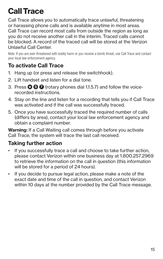# **Call Trace**

Call Trace allows you to automatically trace unlawful, threatening or harassing phone calls and is available anytime in most areas. Call Trace can record most calls from outside the region as long as you do not receive another call in the interim. Traced calls cannot be blocked. A record of the traced call will be stored at the Verizon Unlawful Call Center.

Note: If you are ever threatened with bodily harm or you receive a bomb threat, use Call Trace and contact your local law enforcement agency.

### **To activate Call Trace**

- 1. Hang up (or press and release the switchhook).
- 2. Lift handset and listen for a dial tone.
- 3. Press **5 7** (rotary phones dial 1.1.5.7) and follow the voicerecorded instructions.
- 4. Stay on the line and listen for a recording that tells you if Call Trace was activated and if the call was successfully traced.
- 5. Once you have successfully traced the required number of calls (differs by area), contact your local law enforcement agency and obtain a complaint number.

**Warning:** If a Call Waiting call comes through before you activate Call Trace, the system will trace the last call received.

### **Taking further action**

- If you successfully trace a call and choose to take further action, please contact Verizon within one business day at 1.800.257.2969 to retrieve the information on the call in question (this information will be stored for a period of 24 hours).
- If you decide to pursue legal action, please make a note of the exact date and time of the call in question, and contact Verizon within 10 days at the number provided by the Call Trace message.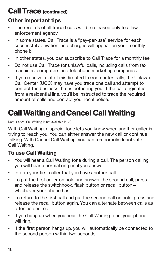### **Call Trace (continued)**

### **Other important tips**

- The records of all traced calls will be released only to a law enforcement agency.
- In some states. Call Trace is a "pay-per-use" service for each successful activation, and charges will appear on your monthly phone bill.
- In other states, you can subscribe to Call Trace for a monthly fee.
- Do not use Call Trace for unlawful calls, including calls from fax machines, computers and telephone marketing companies.
- If you receive a lot of misdirected fax/computer calls, the Unlawful Call Center (UCC) may have you trace one call and attempt to contact the business that is bothering you. If the call originates from a residential line, you'll be instructed to trace the required amount of calls and contact your local police.

# **Call Waiting and Cancel Call Waiting**

Note: Cancel Call Waiting is not available in NC.

With Call Waiting, a special tone lets you know when another caller is trying to reach you. You can either answer the new call or continue talking. With Cancel Call Waiting, you can temporarily deactivate Call Waiting.

#### **To use Call Waiting**

- You will hear a Call Waiting tone during a call. The person calling you will hear a normal ring until you answer.
- Inform your first caller that you have another call.
- To put the first caller on hold and answer the second call, press and release the switchhook, flash button or recall button whichever your phone has.
- To return to the first call and put the second call on hold, press and release the recall button again. You can alternate between calls as often as desired.
- If you hang up when you hear the Call Waiting tone, your phone will ring.
- If the first person hangs up, you will automatically be connected to the second person within two seconds.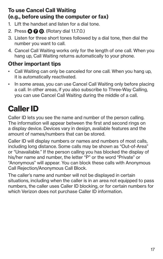#### **To use Cancel Call Waiting (e.g., before using the computer or fax)**

- 1. Lift the handset and listen for a dial tone.
- 2. Press **7 0** . (Rotary dial 1.1.7.0.)
- 3. Listen for three short tones followed by a dial tone, then dial the number you want to call.
- 4. Cancel Call Waiting works only for the length of one call. When you hang up, Call Waiting returns automatically to your phone.

### **Other important tips**

- Call Waiting can only be canceled for one call. When you hang up, it is automatically reactivated.
- In some areas, you can use Cancel Call Waiting only before placing a call. In other areas, if you also subscribe to Three-Way Calling, you can use Cancel Call Waiting during the middle of a call.

# **Caller ID**

Caller ID lets you see the name and number of the person calling. The information will appear between the first and second rings on a display device. Devices vary in design, available features and the amount of names/numbers that can be stored.

Caller ID will display numbers or names and numbers of most calls, including long distance. Some calls may be shown as "Out-of-Area" or "Unavailable." If the person calling you has blocked the display of his/her name and number, the letter "P" or the word "Private" or "Anonymous" will appear. You can block these calls with Anonymous Call Rejection/Anonymous Call Block.

The caller's name and number will not be displayed in certain situations, including when the caller is in an area not equipped to pass numbers, the caller uses Caller ID blocking, or for certain numbers for which Verizon does not purchase Caller ID information.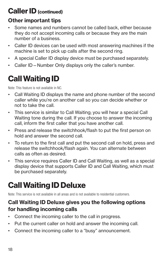### **Caller ID (continued)**

### **Other important tips**

- Some names and numbers cannot be called back, either because they do not accept incoming calls or because they are the main number of a business.
- Caller ID devices can be used with most answering machines if the machine is set to pick up calls after the second ring.
- A special Caller ID display device must be purchased separately.
- Caller ID—Number Only displays only the caller's number.

### **Call Waiting ID**

Note: This feature is not available in NC.

- Call Waiting ID displays the name and phone number of the second caller while you're on another call so you can decide whether or not to take the call.
- This service is similar to Call Waiting; you will hear a special Call Waiting tone during the call. If you choose to answer the incoming call, inform the first caller that you have another call.
- Press and release the switchhook/flash to put the first person on hold and answer the second call.
- To return to the first call and put the second call on hold, press and release the switchhook/flash again. You can alternate between calls as often as desired.
- This service requires Caller ID and Call Waiting, as well as a special display device that supports Caller ID and Call Waiting, which must be purchased separately.

### **Call Waiting ID Deluxe**

Note: This service is not available in all areas and is not available to residential customers.

#### **Call Waiting ID Deluxe gives you the following options for handling incoming calls**

- Connect the incoming caller to the call in progress.
- Put the current caller on hold and answer the incoming call.
- Connect the incoming caller to a "busy" announcement.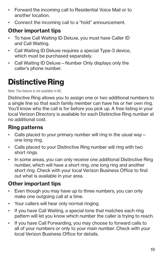- Forward the incoming call to Residential Voice Mail or to another location.
- Connect the incoming call to a "hold" announcement.

### **Other important tips**

- To have Call Waiting ID Deluxe, you must have Caller ID and Call Waiting.
- Call Waiting ID Deluxe requires a special Type-3 device, which must be purchased separately.
- Call Waiting ID Deluxe—Number Only displays only the caller's phone number.

### **Distinctive Ring**

Note: This feature is not available in NC.

Distinctive Ring allows you to assign one or two additional numbers to a single line so that each family member can have his or her own ring. You'll know who the call is for before you pick up. A free listing in your local Verizon Directory is available for each Distinctive Ring number at no additional cost.

#### **Ring patterns**

- Calls placed to your primary number will ring in the usual way one long ring.
- Calls placed to your Distinctive Ring number will ring with two short rings.
- In some areas, you can only receive one additional Distinctive Ring number, which will have a short ring, one long ring and another short ring. Check with your local Verizon Business Office to find out what is available in your area.

- Even though you may have up to three numbers, you can only make one outgoing call at a time.
- Your callers will hear only normal ringing.
- If you have Call Waiting, a special tone that matches each ring pattern will let you know which number the caller is trying to reach.
- If you have Call Forwarding, you may choose to forward calls to all of your numbers or only to your main number. Check with your local Verizon Business Office for details.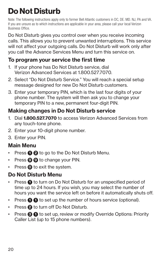# **Do Not Disturb**

Note: The following instructions apply only to former Bell Atlantic customers in DC, DE. MD. NJ, PA and VA. If you are unsure as to which instructions are applicable in your area, please call your local Verizon Business Office.

Do Not Disturb gives you control over when you receive incoming calls. This allows you to prevent unwanted interruptions. This service will not affect your outgoing calls. Do Not Disturb will work only after you call the Advance Services Menu and turn this service on.

### **To program your service the first time**

- 1. If your phone has Do Not Disturb service, dial Verizon Advanced Services at 1.800.527.7070.
- 2. Select "Do Not Disturb Service." You will reach a special setup message designed for new Do Not Disturb customers.
- 3. Enter your temporary PIN, which is the last four digits of your phone number. The system will then ask you to change your temporary PIN to a new, permanent four-digit PIN.

### **Making changes in Do Not Disturb service**

- 1. Dial **1.800.527.7070** to access Verizon Advanced Services from any touch-tone phone.
- 2. Enter your 10-digit phone number.
- 3. Enter your PIN.

### **Main Menu**

- **Press**  $\bigcirc$  **<b>2** to go to the Do Not Disturb Menu.
- Press **9 9** to change your PIN.
- Press **0** to exit the system.

### **Do Not Disturb Menu**

- Press  $\bigcirc$  to turn on Do Not Disturb for an unspecified period of time up to 24 hours. If you wish, you may select the number of hours you want the service left on before it automatically shuts off.
- Press  $\bigcap$  **0** to set up the number of hours service (optional).
- Press **2** to turn off Do Not Disturb.
- Press  $\bigcirc$  **0** to set up, review or modify Override Options: Priority Caller List (up to 15 phone numbers).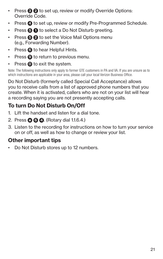- Press  $\bigcirc$  **2** to set up, review or modify Override Options: Override Code.
- Press **4** to set up, review or modify Pre-Programmed Schedule.
- Press **5 1** to select a Do Not Disturb greeting.
- Press  $\bigcirc$  **2** to set the Voice Mail Options menu (e.g., Forwarding Number).
- Press **6** to hear Helpful Hints.
- Press **9** to return to previous menu.
- Press **0** to exit the system.

Note: The following instructions only apply to former GTE customers in PA and VA. If you are unsure as to which instructions are applicable in your area, please call your local Verizon Business Office.

Do Not Disturb (formerly called Special Call Acceptance) allows you to receive calls from a list of approved phone numbers that you create. When it is activated, callers who are not on your list will hear a recording saying you are not presently accepting calls.

### **To turn Do Not Disturb On/Off**

- 1. Lift the handset and listen for a dial tone.
- 2. Press **6 4** . (Rotary dial 1.1.6.4.)
- 3. Listen to the recording for instructions on how to turn your service on or off, as well as how to change or review your list.

### **Other important tips**

• Do Not Disturb stores up to 12 numbers.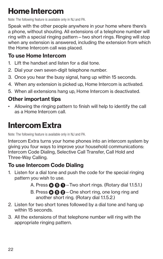### **Home Intercom**

Note: The following feature is available only in NJ and PA.

Speak with the other people anywhere in your home where there's a phone, without shouting. All extensions of a telephone number will ring with a special ringing pattern—two short rings. Ringing will stop when any extension is answered, including the extension from which the Home Intercom call was placed.

### **To use Home Intercom**

- 1. Lift the handset and listen for a dial tone.
- 2. Dial your own seven-digit telephone number.
- 3. Once you hear the busy signal, hang up within 15 seconds.
- 4. When any extension is picked up, Home Intercom is activated.
- 5. When all extensions hang up, Home Intercom is deactivated.

### **Other important tips**

• Allowing the ringing pattern to finish will help to identify the call as a Home Intercom call.

### **Intercom Extra**

Note: The following feature is available only in NJ and PA.

Intercom Extra turns your home phones into an intercom system by giving you four ways to improve your household communications: Intercom Code Dialing, Selective Call Transfer, Call Hold and Three-Way Calling.

### **To use Intercom Code Dialing**

- 1. Listen for a dial tone and push the code for the special ringing pattern you wish to use.
	- A. Press  $\odot$   $\odot$   $\odot$  Two short rings. (Rotary dial 1.1.5.1.)
	- B. Press **5 2** —One short ring, one long ring and another short ring. (Rotary dial 1.1.5.2.)
- 2. Listen for two short tones followed by a dial tone and hang up within 15 seconds.
- 3. All the extensions of that telephone number will ring with the appropriate ringing pattern.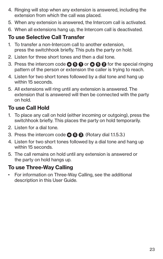- 4. Ringing will stop when any extension is answered, including the extension from which the call was placed.
- 5. When any extension is answered, the Intercom call is activated.
- 6. When all extensions hang up, the Intercom call is deactivated.

### **To use Selective Call Transfer**

- 1. To transfer a non-Intercom call to another extension, press the switchhook briefly. This puts the party on hold.
- 2. Listen for three short tones and then a dial tone.
- 3. Press the intercom code **5 1** or **5 2** for the special ringing pattern of the person or extension the caller is trying to reach.
- 4. Listen for two short tones followed by a dial tone and hang up within 15 seconds.
- 5. All extensions will ring until any extension is answered. The extension that is answered will then be connected with the party on hold.

### **To use Call Hold**

- 1. To place any call on hold (either incoming or outgoing), press the switchhook briefly. This places the party on hold temporarily.
- 2. Listen for a dial tone.
- 3. Press the intercom code **5 3** . (Rotary dial 1.1.5.3.)
- 4. Listen for two short tones followed by a dial tone and hang up within 15 seconds.
- 5. The call remains on hold until any extension is answered or the party on hold hangs up.

#### **To use Three-Way Calling**

• For information on Three-Way Calling, see the additional description in this User Guide.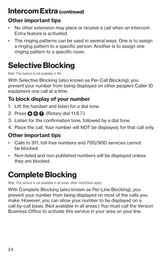### **Intercom Extra (continued)**

### **Other important tips**

- No other extension may place or receive a call when an Intercom Extra feature is activated.
- The ringing patterns can be used in several ways. One is to assign a ringing pattern to a specific person. Another is to assign one ringing pattern to a specific room.

# **Selective Blocking**

Note: This feature is not available in NC.

With Selective Blocking (also known as Per-Call Blocking), you prevent your number from being displayed on other people's Caller ID equipment one call at a time.

### **To block display of your number**

- 1. Lift the handset and listen for a dial tone.
- 2. Press **6 7** . (Rotary dial 1.1.6.7.)
- 3. Listen for the confirmation tone, followed by a dial tone.
- 4. Place the call. Your number will NOT be displayed, for that call only.

### **Other important tips**

- Calls to 911, toll-free numbers and 700/900 services cannot be blocked.
- Non-listed and non-published numbers will be displayed unless they are blocked.

### **Complete Blocking**

Note: This service is not available in all areas: other restrictions apply.

With Complete Blocking (also known as Per-Line Blocking), you prevent your number from being displayed on most of the calls you make. However, you can allow your number to be displayed on a call-by-call basis. (Not available in all areas.) You must call the Verizon Business Office to activate this service in your area on your line.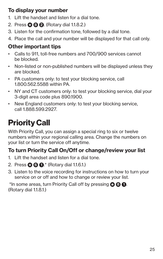### **To display your number**

- 1. Lift the handset and listen for a dial tone.
- 2. Press **8 2** . (Rotary dial 1.1.8.2.)
- 3. Listen for the confirmation tone, followed by a dial tone.
- 4. Place the call and your number will be displayed for that call only.

### **Other important tips**

- Calls to 911, toll-free numbers and 700/900 services cannot be blocked.
- Non-listed or non-published numbers will be displayed unless they are blocked.
- PA customers only: to test your blocking service, call 1.800.562.5588 within PA.
- NY and CT customers only: to test your blocking service, dial your 3-digit area code plus 890.1900.
- New England customers only: to test your blocking service, call 1.888.599.2927.

# **Priority Call**

With Priority Call, you can assign a special ring to six or twelve numbers within your regional calling area. Change the numbers on your list or turn the service off anytime.

### **To turn Priority Call On/Off or change/review your list**

- 1. Lift the handset and listen for a dial tone.
- 2. Press **6 1** .\* (Rotary dial 1.1.6.1.)
- 3. Listen to the voice recording for instructions on how to turn your service on or off and how to change or review your list.

 \*In some areas, turn Priority Call off by pressing **8 1** . (Rotary dial 1.1.8.1.)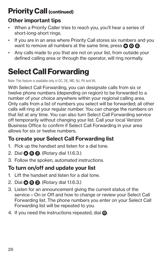### **Priority Call (continued)**

### **Other important tips**

- When a Priority Caller tries to reach you, you'll hear a series of short-long-short rings.
- If you are in an area where Priority Call stores six numbers and you want to remove all numbers at the same time, press **0 0 8**.
- Any calls made to you that are not on your list, from outside your defined calling area or through the operator, will ring normally.

# **Select Call Forwarding**

Note: This feature is available only in DC, DE, MD, NJ, PA and VA.

With Select Call Forwarding, you can designate calls from six or twelve phone numbers (depending on region) to be forwarded to a number of your choice anywhere within your regional calling area. Only calls from a list of numbers you select will be forwarded; all other calls will ring at your regular number. You can change the numbers on that list at any time. You can also turn Select Call Forwarding service off temporarily without changing your list. Call your local Verizon Business Office to confirm if Select Call Forwarding in your area allows for six or twelve numbers.

### **To create your Select Call Forwarding list**

- 1. Pick up the handset and listen for a dial tone.
- 2. Dial **6 3** . (Rotary dial 1.1.6.3.)
- 3. Follow the spoken, automated instructions.

### **To turn on/off and update your list**

- 1. Lift the handset and listen for a dial tone.
- 2. Dial **6 3** . (Rotary dial 1.1.6.3.)
- 3. Listen for an announcement giving the current status of the service—On or Off and how to change or review your Select Call Forwarding list. The phone numbers you enter on your Select Call Forwarding list will be repeated to you.
- 4. If you need the instructions repeated, dial **0** .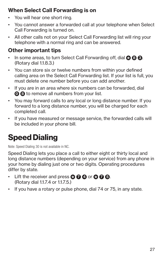### **When Select Call Forwarding is on**

- You will hear one short ring.
- You cannot answer a forwarded call at your telephone when Select Call Forwarding is turned on.
- All other calls not on your Select Call Forwarding list will ring your telephone with a normal ring and can be answered.

### **Other important tips**

- In some areas, to turn Select Call Forwarding off, dial **8 8 8**. (Rotary dial 1.1.8.3.)
- You can store six or twelve numbers from within your defined calling area on the Select Call Forwarding list. If your list is full, you must delete one number before you can add another.
- If you are in an area where six numbers can be forwarded, dial **0 8** to remove all numbers from your list.
- You may forward calls to any local or long distance number. If you forward to a long distance number, you will be charged for each completed call.
- If you have measured or message service, the forwarded calls will be included in your phone bill.

### **Speed Dialing**

Note: Speed Dialing 30 is not available in NC.

Speed Dialing lets you place a call to either eight or thirty local and long distance numbers (depending on your service) from any phone in your home by dialing just one or two digits. Operating procedures differ by state.

- **1** Lift the receiver and press **3 4 4** or **3 6 6**. (Rotary dial 1.1.7.4 or 1.1.7.5.)
- If you have a rotary or pulse phone, dial 74 or 75, in any state.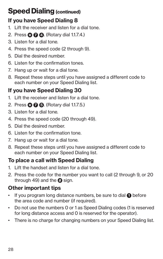### **Speed Dialing (continued)**

### **If you have Speed Dialing 8**

- 1. Lift the receiver and listen for a dial tone.
- 2. Press **7 4** . (Rotary dial 1.1.7.4.)
- 3. Listen for a dial tone.
- 4. Press the speed code (2 through 9).
- 5. Dial the desired number.
- 6. Listen for the confirmation tones.
- 7. Hang up or wait for a dial tone.
- 8. Repeat these steps until you have assigned a different code to each number on your Speed Dialing list.

### **If you have Speed Dialing 30**

- 1. Lift the receiver and listen for a dial tone.
- 2. Press **7 5** . (Rotary dial 1.1.7.5.)
- 3. Listen for a dial tone.
- 4. Press the speed code (20 through 49).
- 5. Dial the desired number.
- 6. Listen for the confirmation tone.
- 7. Hang up or wait for a dial tone.
- 8. Repeat these steps until you have assigned a different code to each number on your Speed Dialing list.

### **To place a call with Speed Dialing**

- 1. Lift the handset and listen for a dial tone.
- 2. Press the code for the number you want to call (2 through 9, or 20 through 49) and the  $\bullet$  sign.

- If you program long distance numbers, be sure to dial  $\bigcirc$  before the area code and number (if required).
- Do not use the numbers 0 or 1 as Speed Dialing codes (1 is reserved for long distance access and 0 is reserved for the operator).
- There is no charge for changing numbers on your Speed Dialing list.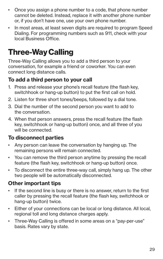- Once you assign a phone number to a code, that phone number cannot be deleted. Instead, replace it with another phone number or, if you don't have one, use your own phone number.
- In most areas, at least seven digits are required to program Speed Dialing. For programming numbers such as 911, check with your local Business Office.

### **Three-Way Calling**

Three-Way Calling allows you to add a third person to your conversation, for example a friend or coworker. You can even connect long distance calls.

#### **To add a third person to your call**

- 1. Press and release your phone's recall feature (the flash key, switchhook or hang-up button) to put the first call on hold.
- 2. Listen for three short tones/beeps, followed by a dial tone.
- 3. Dial the number of the second person you want to add to the conversation.
- 4. When that person answers, press the recall feature (the flash key, switchhook or hang-up button) once, and all three of you will be connected.

#### **To disconnect parties**

- Any person can leave the conversation by hanging up. The remaining persons will remain connected.
- You can remove the third person anytime by pressing the recall feature (the flash key, switchhook or hang-up button) once.
- To disconnect the entire three-way call, simply hang up. The other two people will be automatically disconnected.

- If the second line is busy or there is no answer, return to the first caller by pressing the recall feature (the flash key, switchhook or hang-up button) twice.
- Either of your connections can be local or long distance. All local, regional toll and long distance charges apply.
- Three-Way Calling is offered in some areas on a "pay-per-use" basis. Rates vary by state.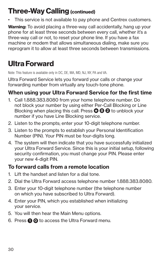### **Three-Way Calling (continued)**

This service is not available to pay phone and Centrex customers.

**Warning:** To avoid placing a three-way call accidentally, hang up your phone for at least three seconds between every call, whether it's a three-way call or not, to reset your phone line. If you have a fax machine or modem that allows simultaneous dialing, make sure you reprogram it to allow at least three seconds between transmissions.

### **Ultra Forward**

Note: This feature is available only in DC, DE, MA, MD, NJ, NY, PA and VA.

Ultra Forward Service lets you forward your calls or change your forwarding number from virtually any touch-tone phone.

### **When using your Ultra Forward Service for the first time**

- 1. Call 1.888.383.8080 from your home telephone number. Do not block your number by using either Per-Call Blocking or Line Blocking when placing this call. Press **8 2** to unblock your number if you have Line Blocking service.
- 2. Listen to the prompts; enter your 10-digit telephone number.
- 3. Listen to the prompts to establish your Personal Identification Number (PIN). Your PIN must be four-digits long.
- 4. The system will then indicate that you have successfully initialized your Ultra Forward Service. Since this is your initial setup, following security confirmation, you must change your PIN. Please enter your new 4-digit PIN.

#### **To forward calls from a remote location**

- 1. Lift the handset and listen for a dial tone.
- 2. Dial the Ultra Forward access telephone number 1.888.383.8080.
- 3. Enter your 10-digit telephone number (the telephone number on which you have subscribed to Ultra Forward).
- 4. Enter your PIN, which you established when initializing your service.
- 5. You will then hear the Main Menu options.
- 6. Press  $\bigcirc$  **O** to access the Ultra Forward menu.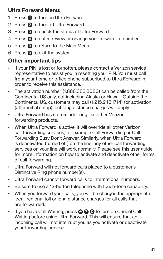### **Ultra Forward Menu:**

- 1. Press  $\bigcirc$  to turn on Ultra Forward.
- 2. Press **2** to turn off Ultra Forward.
- 3. Press **3** to check the status of Ultra Forward.
- 4. Press **4** to enter, review or change your forward-to number.
- 5. Press  $\bullet$  to return to the Main Menu.
- 6. Press **0** to exit the system.

- If your PIN is lost or forgotten, please contact a Verizon service representative to assist you in resetting your PIN. You must call from your home or office phone subscribed to Ultra Forward in order to receive this assistance.
- The activation number (1.888.383.8080) can be called from the Continental US only, not including Alaska or Hawaii. Outside the Continental US, customers may call (1.215.243.1714) for activation (after initial setup), but long distance charges will apply.
- Ultra Forward has no reminder ring like other Verizon forwarding products.
- When Ultra Forward is active, it will override all other Verizon call forwarding services, for example Call Forwarding or Call Forwarding Busy Don't Answer. Similarly, when Ultra Forward is deactivated (turned off) on the line, any other call forwarding services on your line will work normally. Please see this user guide for more information on how to activate and deactivate other forms of call forwarding.
- Ultra Forward will not forward calls placed to a customer's Distinctive Ring phone number(s).
- Ultra Forward cannot forward calls to international numbers.
- Be sure to use a 12-button telephone with touch-tone capability.
- When you forward your calls, you will be charged the appropriate local, regional toll or long distance charges for all calls that are forwarded.
- If you have Call Waiting, press **7 0** to turn on Cancel Call Waiting before using Ultra Forward. This will ensure that an incoming call will not interrupt you as you activate or deactivate your forwarding service.